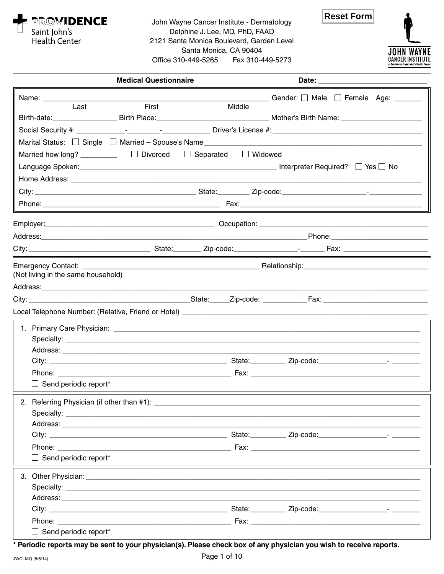

John Wayne Cancer Institute - Dermatology Delphine J. Lee, MD, PhD, FAAD 2121 Santa Monica Boulevard, Garden Level Santa Monica, CA 90404 Office 310-449-5265 Fax 310-449-5273





| <b>Medical Questionnaire</b>                                                                                                                                                                                                   |        |                                                      |
|--------------------------------------------------------------------------------------------------------------------------------------------------------------------------------------------------------------------------------|--------|------------------------------------------------------|
|                                                                                                                                                                                                                                |        | $\Box$ Gender: $\Box$ Male $\Box$ Female Age: $\Box$ |
| First<br>Last                                                                                                                                                                                                                  | Middle |                                                      |
|                                                                                                                                                                                                                                |        |                                                      |
|                                                                                                                                                                                                                                |        |                                                      |
|                                                                                                                                                                                                                                |        |                                                      |
| Married how long? __________ □ Divorced □ Separated □ Widowed                                                                                                                                                                  |        |                                                      |
|                                                                                                                                                                                                                                |        |                                                      |
|                                                                                                                                                                                                                                |        |                                                      |
|                                                                                                                                                                                                                                |        |                                                      |
|                                                                                                                                                                                                                                |        |                                                      |
|                                                                                                                                                                                                                                |        |                                                      |
|                                                                                                                                                                                                                                |        |                                                      |
|                                                                                                                                                                                                                                |        |                                                      |
|                                                                                                                                                                                                                                |        |                                                      |
| (Not living in the same household)                                                                                                                                                                                             |        |                                                      |
|                                                                                                                                                                                                                                |        |                                                      |
| City: Culture City: City: City: City: City: City: City: City: City: City: City: City: City: City: City: City: City: City: City: City: City: City: City: City: City: City: City: City: City: City: City: City: City: City: City |        |                                                      |
|                                                                                                                                                                                                                                |        |                                                      |
|                                                                                                                                                                                                                                |        |                                                      |
|                                                                                                                                                                                                                                |        |                                                      |
|                                                                                                                                                                                                                                |        |                                                      |
|                                                                                                                                                                                                                                |        |                                                      |
| Phone: ____________                                                                                                                                                                                                            |        |                                                      |
| $\Box$ Send periodic report*                                                                                                                                                                                                   |        |                                                      |
|                                                                                                                                                                                                                                |        |                                                      |
|                                                                                                                                                                                                                                |        |                                                      |
|                                                                                                                                                                                                                                |        |                                                      |
|                                                                                                                                                                                                                                |        |                                                      |
| $\Box$ Send periodic report*                                                                                                                                                                                                   |        |                                                      |
|                                                                                                                                                                                                                                |        |                                                      |
|                                                                                                                                                                                                                                |        |                                                      |
|                                                                                                                                                                                                                                |        |                                                      |
|                                                                                                                                                                                                                                |        |                                                      |
|                                                                                                                                                                                                                                |        |                                                      |
| $\Box$ Send periodic report*                                                                                                                                                                                                   |        |                                                      |

\* Periodic reports may be sent to your physician(s). Please check box of any physician you wish to receive reports.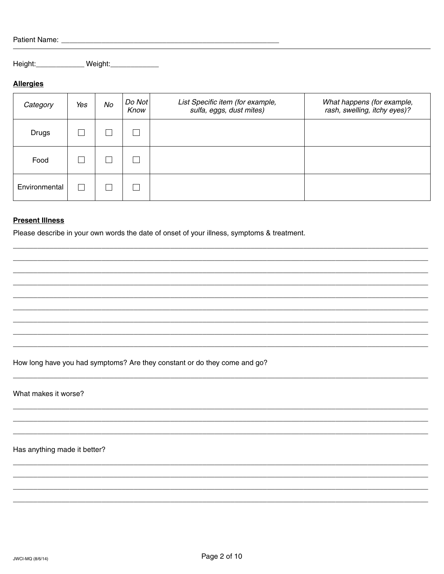| Patient Name: |  |  |
|---------------|--|--|
|               |  |  |

Height: \_\_\_\_\_\_\_\_\_\_\_\_\_\_ Weight: \_\_\_\_\_\_\_\_\_\_\_\_\_

# **Allergies**

| Category      | Yes | No | $Do$ Not<br>Know | List Specific item (for example,<br>sulfa, eggs, dust mites) | What happens (for example,<br>rash, swelling, itchy eyes)? |
|---------------|-----|----|------------------|--------------------------------------------------------------|------------------------------------------------------------|
| <b>Drugs</b>  |     |    | ×                |                                                              |                                                            |
| Food          |     |    |                  |                                                              |                                                            |
| Environmental |     |    |                  |                                                              |                                                            |

# **Present Illness**

Please describe in your own words the date of onset of your illness, symptoms & treatment.

How long have you had symptoms? Are they constant or do they come and go?

What makes it worse?

Has anything made it better?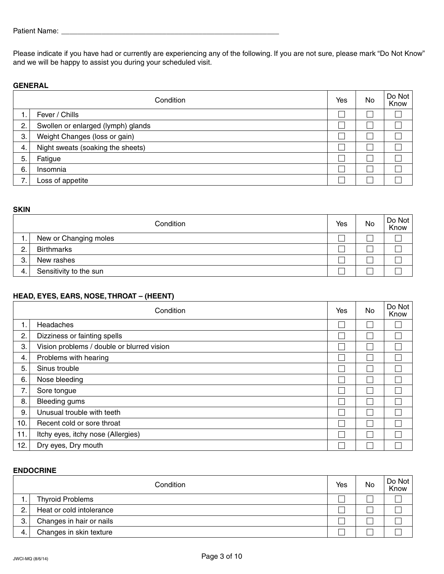Please indicate if you have had or currently are experiencing any of the following. If you are not sure, please mark "Do Not Know" and we will be happy to assist you during your scheduled visit.

# **GENERAL**

|    | Condition                          | Yes | No | Do Not<br>Know |
|----|------------------------------------|-----|----|----------------|
| ι. | Fever / Chills                     |     |    |                |
| 2. | Swollen or enlarged (lymph) glands |     |    |                |
| 3. | Weight Changes (loss or gain)      |     |    |                |
| 4. | Night sweats (soaking the sheets)  |     |    |                |
| 5. | Fatigue                            |     |    |                |
| 6. | Insomnia                           |     |    |                |
| 7. | Loss of appetite                   |     |    |                |

#### **SKIN**

|    | Condition              | Yes | No | $Do$ Not<br>Know |
|----|------------------------|-----|----|------------------|
|    | New or Changing moles  |     |    |                  |
| 2. | <b>Birthmarks</b>      |     |    |                  |
| З. | New rashes             |     |    |                  |
| 4. | Sensitivity to the sun |     |    |                  |

# **HEAD, EYES, EARS, NOSE, THROAT – (HEENT)**

|                | Condition                                  | Yes | <b>No</b> | Do Not<br>Know |
|----------------|--------------------------------------------|-----|-----------|----------------|
| $\mathbf{1}$ . | Headaches                                  |     |           |                |
| 2.             | Dizziness or fainting spells               |     |           |                |
| 3.             | Vision problems / double or blurred vision |     |           |                |
| 4.             | Problems with hearing                      |     |           |                |
| 5.             | Sinus trouble                              |     |           |                |
| 6.             | Nose bleeding                              |     |           |                |
| 7.             | Sore tongue                                |     |           |                |
| 8.             | <b>Bleeding gums</b>                       |     |           |                |
| 9.             | Unusual trouble with teeth                 |     |           |                |
| 10.            | Recent cold or sore throat                 |     |           |                |
| 11.            | Itchy eyes, itchy nose (Allergies)         |     |           |                |
| 12.            | Dry eyes, Dry mouth                        |     |           |                |

### **ENDOCRINE**

|    | Condition                | Yes | No | $Do$ Not<br>Know |
|----|--------------------------|-----|----|------------------|
|    | <b>Thyroid Problems</b>  |     |    |                  |
| っ  | Heat or cold intolerance |     |    |                  |
| 3. | Changes in hair or nails |     |    |                  |
| 4. | Changes in skin texture  |     |    |                  |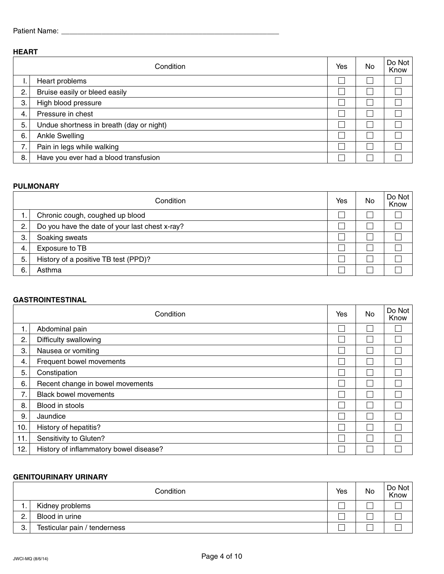# **HEART**

|    | Condition                                | Yes | No | Do Not<br>Know |
|----|------------------------------------------|-----|----|----------------|
| ι. | Heart problems                           |     |    |                |
| 2. | Bruise easily or bleed easily            |     |    |                |
| 3. | High blood pressure                      |     |    |                |
| 4. | Pressure in chest                        |     |    |                |
| 5. | Undue shortness in breath (day or night) |     |    |                |
| 6. | <b>Ankle Swelling</b>                    |     |    |                |
| 7. | Pain in legs while walking               |     |    |                |
| 8. | Have you ever had a blood transfusion    |     |    |                |

# **PULMONARY**

|    | Condition                                      | Yes | No | $Do$ Not<br>Know |
|----|------------------------------------------------|-----|----|------------------|
| ι. | Chronic cough, coughed up blood                |     |    |                  |
| 2. | Do you have the date of your last chest x-ray? |     |    |                  |
| 3. | Soaking sweats                                 |     |    |                  |
| 4. | Exposure to TB                                 |     |    |                  |
| 5. | History of a positive TB test (PPD)?           |     |    |                  |
| 6. | Asthma                                         |     |    |                  |

# **GASTROINTESTINAL**

|     | Condition                              | Yes | No | Do Not<br>Know |
|-----|----------------------------------------|-----|----|----------------|
| 1.  | Abdominal pain                         |     |    |                |
| 2.  | Difficulty swallowing                  |     |    |                |
| 3.  | Nausea or vomiting                     |     |    |                |
| 4.  | Frequent bowel movements               |     |    |                |
| 5.  | Constipation                           |     |    |                |
| 6.  | Recent change in bowel movements       |     |    |                |
| 7.  | <b>Black bowel movements</b>           |     |    |                |
| 8.  | Blood in stools                        |     |    |                |
| 9.  | Jaundice                               |     |    |                |
| 10. | History of hepatitis?                  |     |    |                |
| 11. | Sensitivity to Gluten?                 |     |    |                |
| 12. | History of inflammatory bowel disease? |     |    |                |

#### **GENITOURINARY URINARY**

|               | Condition                    | Yes | No | Do Not<br>Know |
|---------------|------------------------------|-----|----|----------------|
|               | Kidney problems              |     |    |                |
| ົ<br><u>.</u> | Blood in urine               |     |    |                |
| 3.            | Testicular pain / tenderness |     |    |                |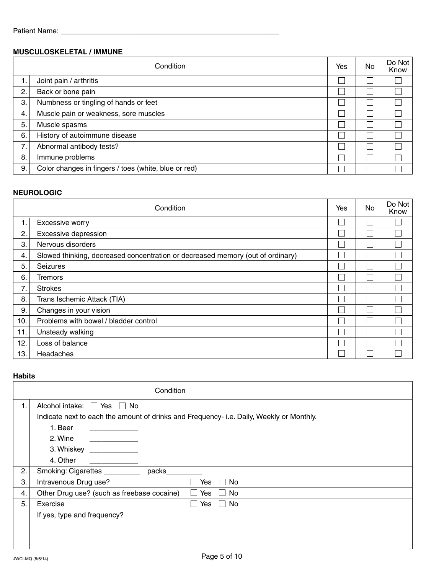# **MUSCULOSKELETAL / IMMUNE**

|    | Condition                                            |  | No. | Do Not<br>Know |
|----|------------------------------------------------------|--|-----|----------------|
| 1. | Joint pain / arthritis                               |  |     |                |
| 2. | Back or bone pain                                    |  |     |                |
| 3. | Numbness or tingling of hands or feet                |  |     |                |
| 4. | Muscle pain or weakness, sore muscles                |  |     |                |
| 5. | Muscle spasms                                        |  |     |                |
| 6. | History of autoimmune disease                        |  |     |                |
| 7. | Abnormal antibody tests?                             |  |     |                |
| 8. | Immune problems                                      |  |     |                |
| 9. | Color changes in fingers / toes (white, blue or red) |  |     |                |

<u> 1989 - Johann Barbara, martxa alemaniar a</u>

# **NEUROLOGIC**

|     | Condition                                                                      | Yes | No | Do Not<br>Know |
|-----|--------------------------------------------------------------------------------|-----|----|----------------|
| 1.  | Excessive worry                                                                |     |    |                |
| 2.  | Excessive depression                                                           |     |    |                |
| 3.  | Nervous disorders                                                              |     |    |                |
| 4.  | Slowed thinking, decreased concentration or decreased memory (out of ordinary) |     |    |                |
| 5.  | <b>Seizures</b>                                                                |     |    |                |
| 6.  | Tremors                                                                        |     |    |                |
| 7.  | <b>Strokes</b>                                                                 |     |    |                |
| 8.  | Trans Ischemic Attack (TIA)                                                    |     |    |                |
| 9.  | Changes in your vision                                                         |     |    |                |
| 10. | Problems with bowel / bladder control                                          |     |    |                |
| 11. | Unsteady walking                                                               |     |    |                |
| 12. | Loss of balance                                                                |     |    |                |
| 13. | Headaches                                                                      |     |    |                |

# **Habits**

|    | Condition                                                                                |
|----|------------------------------------------------------------------------------------------|
| 1. | Alcohol intake: $\Box$ Yes $\Box$ No                                                     |
|    | Indicate next to each the amount of drinks and Frequency- i.e. Daily, Weekly or Monthly. |
|    | 1. Beer                                                                                  |
|    | 2. Wine                                                                                  |
|    | 3. Whiskey                                                                               |
|    | 4. Other                                                                                 |
| 2. | Smoking: Cigarettes _________<br>packs                                                   |
| 3. | Intravenous Drug use?<br>No<br>Yes                                                       |
| 4. | Other Drug use? (such as freebase cocaine)<br>Yes<br>No                                  |
| 5. | No<br>Exercise<br>Yes                                                                    |
|    | If yes, type and frequency?                                                              |
|    |                                                                                          |
|    |                                                                                          |
|    |                                                                                          |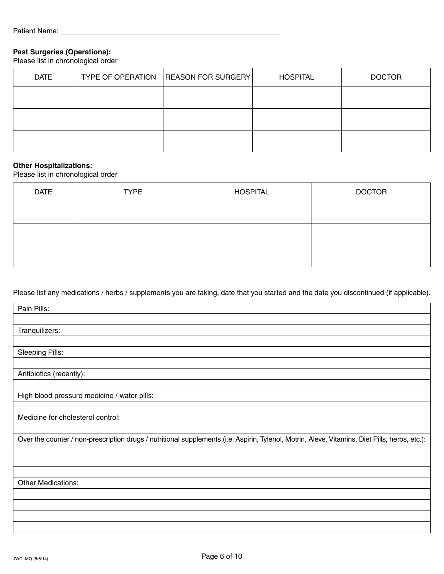# **Past Surgeries (Operations):**

Please list in chronological order

| <b>DATE</b> | <b>TYPE OF OPERATION</b> | <b>REASON FOR SURGERY</b> | <b>HOSPITAL</b> | <b>DOCTOR</b> |
|-------------|--------------------------|---------------------------|-----------------|---------------|
|             |                          |                           |                 |               |
|             |                          |                           |                 |               |
|             |                          |                           |                 |               |

## **Other Hospitalizations:**

Please list in chronological order

| <b>DATE</b> | <b>TYPE</b> | <b>HOSPITAL</b> | <b>DOCTOR</b> |
|-------------|-------------|-----------------|---------------|
|             |             |                 |               |
|             |             |                 |               |
|             |             |                 |               |

Please list any medications / herbs / supplements you are taking, date that you started and the date you discontinued (if applicable).

| Pain Pills:                                                                                                                                    |
|------------------------------------------------------------------------------------------------------------------------------------------------|
|                                                                                                                                                |
| Tranquilizers:                                                                                                                                 |
|                                                                                                                                                |
| <b>Sleeping Pills:</b>                                                                                                                         |
|                                                                                                                                                |
| Antibiotics (recently):                                                                                                                        |
|                                                                                                                                                |
| High blood pressure medicine / water pills:                                                                                                    |
|                                                                                                                                                |
| Medicine for cholesterol control:                                                                                                              |
|                                                                                                                                                |
| Over the counter / non-prescription drugs / nutritional supplements (i.e. Aspirin, Tylenol, Motrin, Aleve, Vitamins, Diet Pills, herbs, etc.): |
|                                                                                                                                                |
|                                                                                                                                                |
|                                                                                                                                                |
| Other Medications:                                                                                                                             |
|                                                                                                                                                |
|                                                                                                                                                |
|                                                                                                                                                |
|                                                                                                                                                |
|                                                                                                                                                |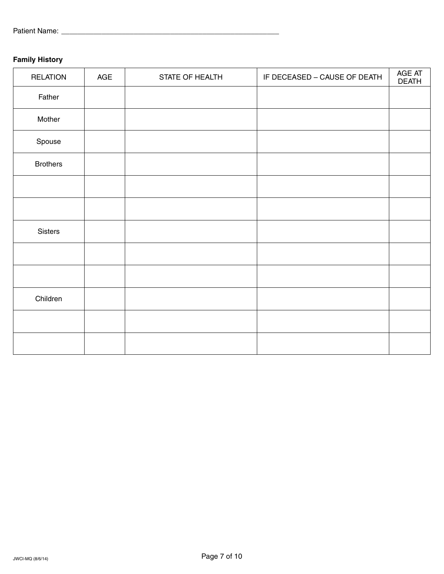# **Family History**

| <b>RELATION</b> | AGE | STATE OF HEALTH | IF DECEASED - CAUSE OF DEATH | AGE AT<br><b>DEATH</b> |
|-----------------|-----|-----------------|------------------------------|------------------------|
| Father          |     |                 |                              |                        |
| Mother          |     |                 |                              |                        |
| Spouse          |     |                 |                              |                        |
| <b>Brothers</b> |     |                 |                              |                        |
|                 |     |                 |                              |                        |
|                 |     |                 |                              |                        |
| Sisters         |     |                 |                              |                        |
|                 |     |                 |                              |                        |
|                 |     |                 |                              |                        |
| Children        |     |                 |                              |                        |
|                 |     |                 |                              |                        |
|                 |     |                 |                              |                        |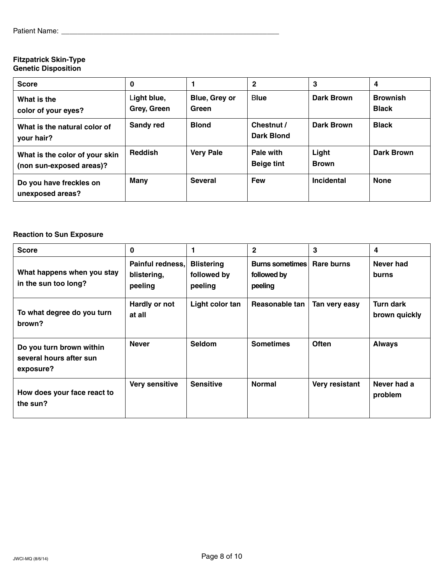## **Fitzpatrick Skin-Type Genetic Disposition**

| <b>Score</b>                                               | 0                          |                        | 2                              | 3                     | 4                               |
|------------------------------------------------------------|----------------------------|------------------------|--------------------------------|-----------------------|---------------------------------|
| What is the<br>color of your eyes?                         | Light blue,<br>Grey, Green | Blue, Grey or<br>Green | <b>Blue</b>                    | Dark Brown            | <b>Brownish</b><br><b>Black</b> |
| What is the natural color of<br>your hair?                 | <b>Sandy red</b>           | <b>Blond</b>           | Chestnut /<br>Dark Blond       | Dark Brown            | <b>Black</b>                    |
| What is the color of your skin<br>(non sun-exposed areas)? | <b>Reddish</b>             | <b>Very Pale</b>       | Pale with<br><b>Beige tint</b> | Light<br><b>Brown</b> | Dark Brown                      |
| Do you have freckles on<br>unexposed areas?                | <b>Many</b>                | <b>Several</b>         | <b>Few</b>                     | Incidental            | <b>None</b>                     |

# **Reaction to Sun Exposure**

| <b>Score</b>                                                     | $\bf{0}$                                   |                                             | $\mathbf{2}$                              | 3              | 4                          |
|------------------------------------------------------------------|--------------------------------------------|---------------------------------------------|-------------------------------------------|----------------|----------------------------|
| What happens when you stay<br>in the sun too long?               | Painful redness,<br>blistering,<br>peeling | <b>Blistering</b><br>followed by<br>peeling | Burns sometimes<br>followed by<br>peeling | Rare burns     | Never had<br>burns         |
| To what degree do you turn<br>brown?                             | Hardly or not<br>at all                    | Light color tan                             | Reasonable tan                            | Tan very easy  | Turn dark<br>brown quickly |
| Do you turn brown within<br>several hours after sun<br>exposure? | <b>Never</b>                               | <b>Seldom</b>                               | <b>Sometimes</b>                          | <b>Often</b>   | <b>Always</b>              |
| How does your face react to<br>the sun?                          | Very sensitive                             | <b>Sensitive</b>                            | <b>Normal</b>                             | Very resistant | Never had a<br>problem     |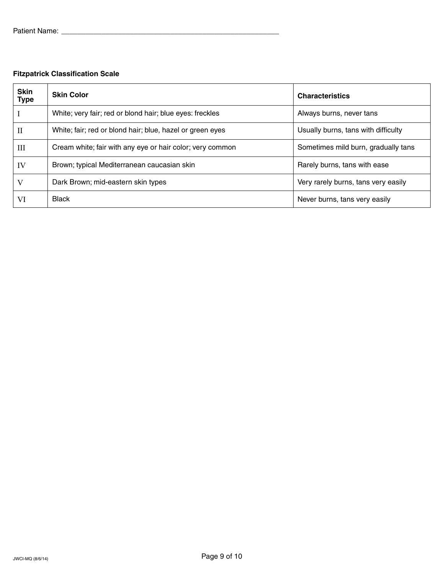# **Fitzpatrick Classification Scale**

| <b>Skin</b><br><b>Type</b> | <b>Skin Color</b>                                         | <b>Characteristics</b>              |
|----------------------------|-----------------------------------------------------------|-------------------------------------|
|                            | White; very fair; red or blond hair; blue eyes: freckles  | Always burns, never tans            |
| П                          | White; fair; red or blond hair; blue, hazel or green eyes | Usually burns, tans with difficulty |
| III                        | Cream white; fair with any eye or hair color; very common | Sometimes mild burn, gradually tans |
| IV                         | Brown; typical Mediterranean caucasian skin               | Rarely burns, tans with ease        |
|                            | Dark Brown; mid-eastern skin types                        | Very rarely burns, tans very easily |
| VI                         | <b>Black</b>                                              | Never burns, tans very easily       |